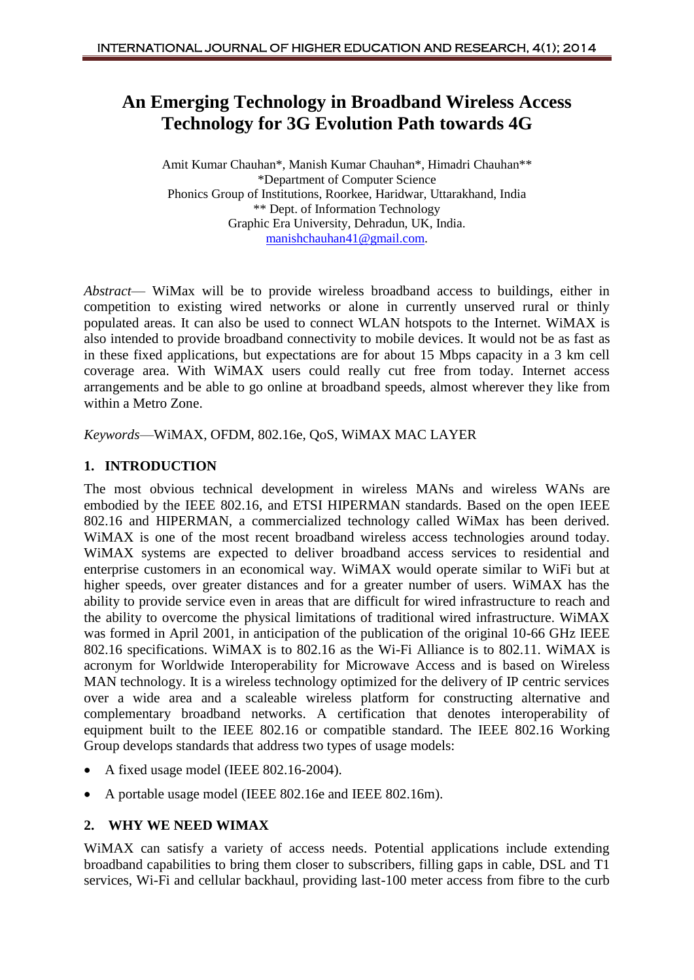# **An Emerging Technology in Broadband Wireless Access Technology for 3G Evolution Path towards 4G**

Amit Kumar Chauhan\*, Manish Kumar Chauhan\*, Himadri Chauhan\*\* \*Department of Computer Science Phonics Group of Institutions, Roorkee, Haridwar, Uttarakhand, India \*\* Dept. of Information Technology Graphic Era University, Dehradun, UK, India. [manishchauhan41@gmail.com.](mailto:manishchauhan41@gmail.com)

*Abstract*— WiMax will be to provide wireless broadband access to buildings, either in competition to existing wired networks or alone in currently unserved rural or thinly populated areas. It can also be used to connect WLAN hotspots to the Internet. WiMAX is also intended to provide broadband connectivity to mobile devices. It would not be as fast as in these fixed applications, but expectations are for about 15 Mbps capacity in a 3 km cell coverage area. With WiMAX users could really cut free from today. Internet access arrangements and be able to go online at broadband speeds, almost wherever they like from within a Metro Zone.

*Keywords*—WiMAX, OFDM, 802.16e, QoS, WiMAX MAC LAYER

#### **1. INTRODUCTION**

The most obvious technical development in wireless MANs and wireless WANs are embodied by the IEEE 802.16, and ETSI HIPERMAN standards. Based on the open IEEE 802.16 and HIPERMAN, a commercialized technology called WiMax has been derived. WiMAX is one of the most recent broadband wireless access technologies around today. WiMAX systems are expected to deliver broadband access services to residential and enterprise customers in an economical way. WiMAX would operate similar to WiFi but at higher speeds, over greater distances and for a greater number of users. WiMAX has the ability to provide service even in areas that are difficult for wired infrastructure to reach and the ability to overcome the physical limitations of traditional wired infrastructure. WiMAX was formed in April 2001, in anticipation of the publication of the original 10-66 GHz IEEE 802.16 specifications. WiMAX is to 802.16 as the Wi-Fi Alliance is to 802.11. WiMAX is acronym for Worldwide Interoperability for Microwave Access and is based on Wireless MAN technology. It is a wireless technology optimized for the delivery of IP centric services over a wide area and a scaleable wireless platform for constructing alternative and complementary broadband networks. A certification that denotes interoperability of equipment built to the IEEE 802.16 or compatible standard. The IEEE 802.16 Working Group develops standards that address two types of usage models:

- A fixed usage model (IEEE 802.16-2004).
- A portable usage model (IEEE 802.16e and IEEE 802.16m).

#### **2. WHY WE NEED WIMAX**

WiMAX can satisfy a variety of access needs. Potential applications include extending broadband capabilities to bring them closer to subscribers, filling gaps in cable, DSL and T1 services, Wi-Fi and cellular backhaul, providing last-100 meter access from fibre to the curb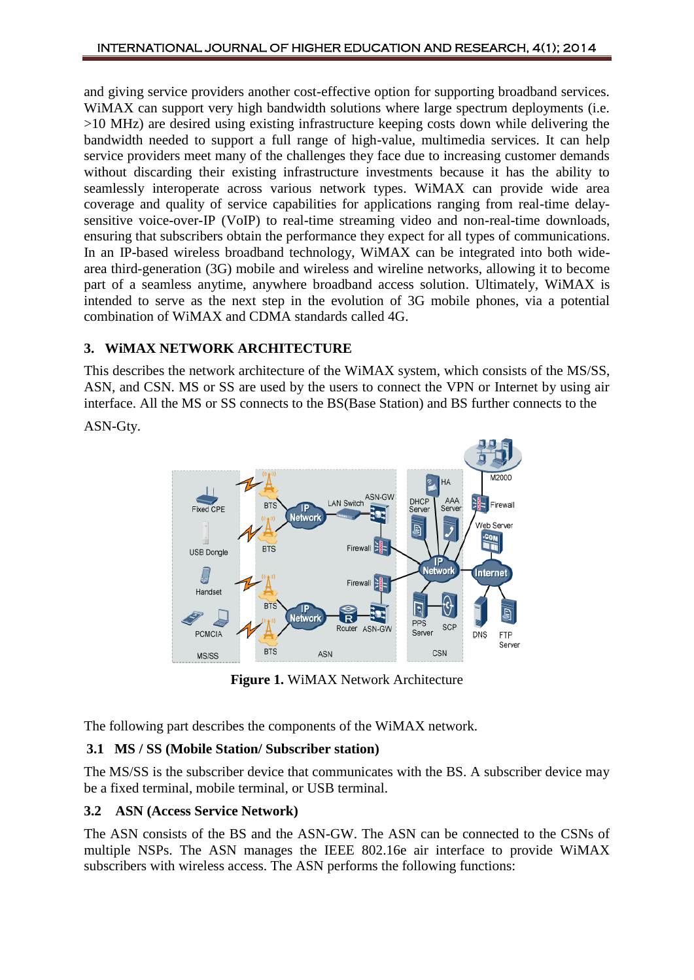and giving service providers another cost-effective option for supporting broadband services. WiMAX can support very high bandwidth solutions where large spectrum deployments (i.e. >10 MHz) are desired using existing infrastructure keeping costs down while delivering the bandwidth needed to support a full range of high-value, multimedia services. It can help service providers meet many of the challenges they face due to increasing customer demands without discarding their existing infrastructure investments because it has the ability to seamlessly interoperate across various network types. WiMAX can provide wide area coverage and quality of service capabilities for applications ranging from real-time delaysensitive voice-over-IP (VoIP) to real-time streaming video and non-real-time downloads, ensuring that subscribers obtain the performance they expect for all types of communications. In an IP-based wireless broadband technology, WiMAX can be integrated into both widearea third-generation (3G) mobile and wireless and wireline networks, allowing it to become part of a seamless anytime, anywhere broadband access solution. Ultimately, WiMAX is intended to serve as the next step in the evolution of 3G mobile phones, via a potential combination of WiMAX and CDMA standards called 4G.

### **3. WiMAX NETWORK ARCHITECTURE**

This describes the network architecture of the WiMAX system, which consists of the MS/SS, ASN, and CSN. MS or SS are used by the users to connect the VPN or Internet by using air interface. All the MS or SS connects to the BS(Base Station) and BS further connects to the

ASN-Gty.



**Figure 1.** WiMAX Network Architecture

The following part describes the components of the WiMAX network.

# **3.1 MS / SS (Mobile Station/ Subscriber station)**

The MS/SS is the subscriber device that communicates with the BS. A subscriber device may be a fixed terminal, mobile terminal, or USB terminal.

# **3.2 ASN (Access Service Network)**

The ASN consists of the BS and the ASN-GW. The ASN can be connected to the CSNs of multiple NSPs. The ASN manages the IEEE 802.16e air interface to provide WiMAX subscribers with wireless access. The ASN performs the following functions: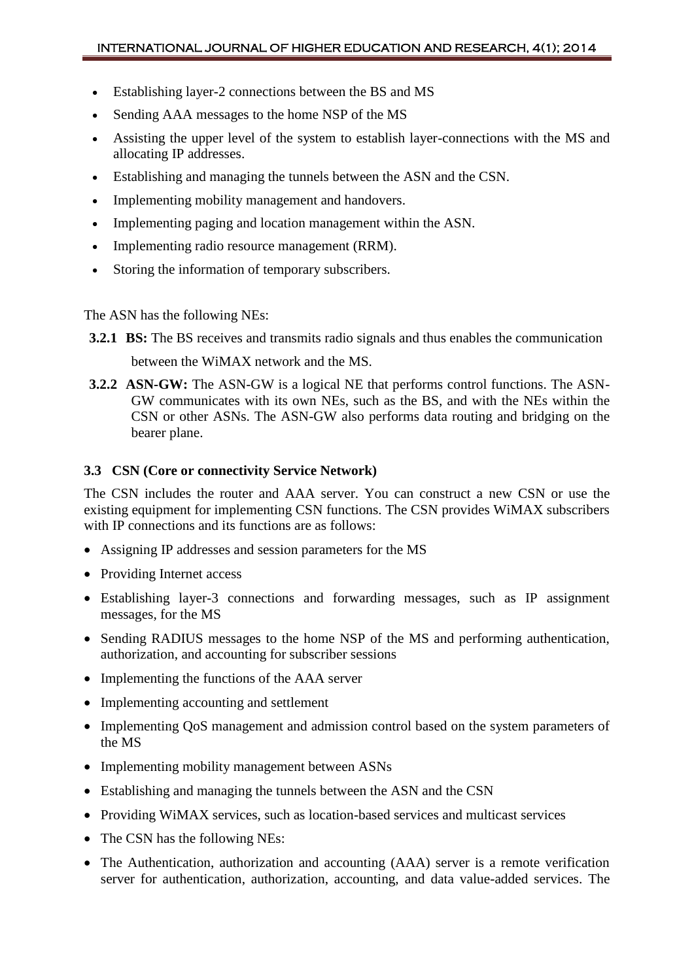- Establishing layer-2 connections between the BS and MS
- Sending AAA messages to the home NSP of the MS
- Assisting the upper level of the system to establish layer-connections with the MS and allocating IP addresses.
- Establishing and managing the tunnels between the ASN and the CSN.
- Implementing mobility management and handovers.
- Implementing paging and location management within the ASN.
- Implementing radio resource management (RRM).
- Storing the information of temporary subscribers.

The ASN has the following NEs:

- **3.2.1 BS:** The BS receives and transmits radio signals and thus enables the communication between the WiMAX network and the MS.
- **3.2.2 ASN-GW:** The ASN-GW is a logical NE that performs control functions. The ASN-GW communicates with its own NEs, such as the BS, and with the NEs within the CSN or other ASNs. The ASN-GW also performs data routing and bridging on the bearer plane.

#### **3.3 CSN (Core or connectivity Service Network)**

The CSN includes the router and AAA server. You can construct a new CSN or use the existing equipment for implementing CSN functions. The CSN provides WiMAX subscribers with IP connections and its functions are as follows:

- Assigning IP addresses and session parameters for the MS
- Providing Internet access
- Establishing layer-3 connections and forwarding messages, such as IP assignment messages, for the MS
- Sending RADIUS messages to the home NSP of the MS and performing authentication, authorization, and accounting for subscriber sessions
- Implementing the functions of the AAA server
- Implementing accounting and settlement
- Implementing QoS management and admission control based on the system parameters of the MS
- Implementing mobility management between ASNs
- Establishing and managing the tunnels between the ASN and the CSN
- Providing WiMAX services, such as location-based services and multicast services
- The CSN has the following NEs:
- The Authentication, authorization and accounting (AAA) server is a remote verification server for authentication, authorization, accounting, and data value-added services. The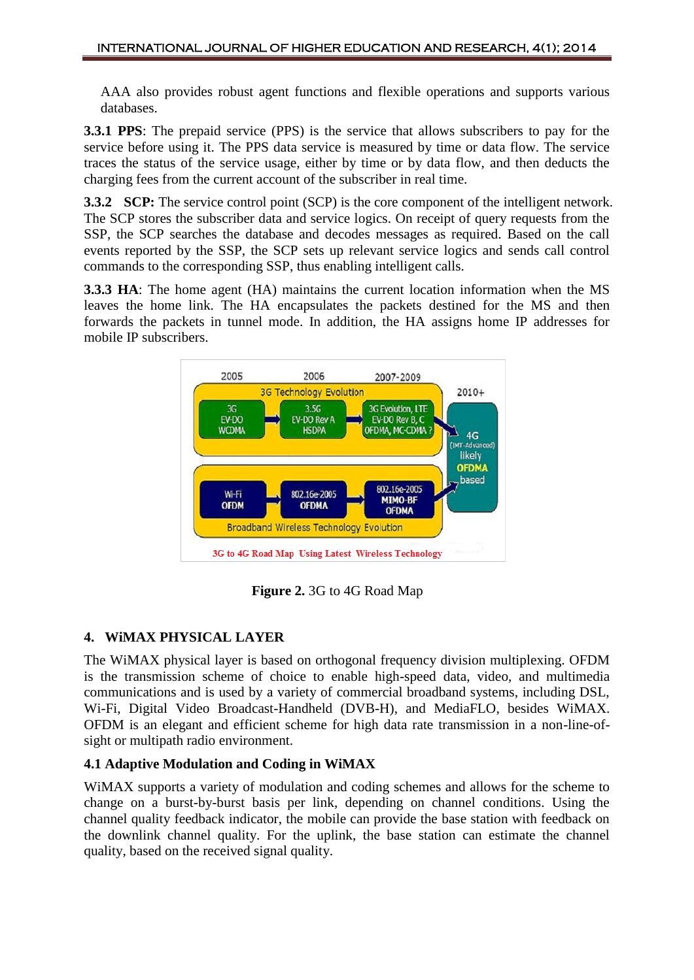AAA also provides robust agent functions and flexible operations and supports various databases.

**3.3.1 PPS**: The prepaid service (PPS) is the service that allows subscribers to pay for the service before using it. The PPS data service is measured by time or data flow. The service traces the status of the service usage, either by time or by data flow, and then deducts the charging fees from the current account of the subscriber in real time.

**3.3.2 SCP:** The service control point (SCP) is the core component of the intelligent network. The SCP stores the subscriber data and service logics. On receipt of query requests from the SSP, the SCP searches the database and decodes messages as required. Based on the call events reported by the SSP, the SCP sets up relevant service logics and sends call control commands to the corresponding SSP, thus enabling intelligent calls.

**3.3.3 HA**: The home agent (HA) maintains the current location information when the MS leaves the home link. The HA encapsulates the packets destined for the MS and then forwards the packets in tunnel mode. In addition, the HA assigns home IP addresses for mobile IP subscribers.



**Figure 2.** 3G to 4G Road Map

### **4. WiMAX PHYSICAL LAYER**

The WiMAX physical layer is based on orthogonal frequency division multiplexing. OFDM is the transmission scheme of choice to enable high-speed data, video, and multimedia communications and is used by a variety of commercial broadband systems, including DSL, Wi-Fi, Digital Video Broadcast-Handheld (DVB-H), and MediaFLO, besides WiMAX. OFDM is an elegant and efficient scheme for high data rate transmission in a non-line-ofsight or multipath radio environment.

### **4.1 Adaptive Modulation and Coding in WiMAX**

WiMAX supports a variety of modulation and coding schemes and allows for the scheme to change on a burst-by-burst basis per link, depending on channel conditions. Using the channel quality feedback indicator, the mobile can provide the base station with feedback on the downlink channel quality. For the uplink, the base station can estimate the channel quality, based on the received signal quality.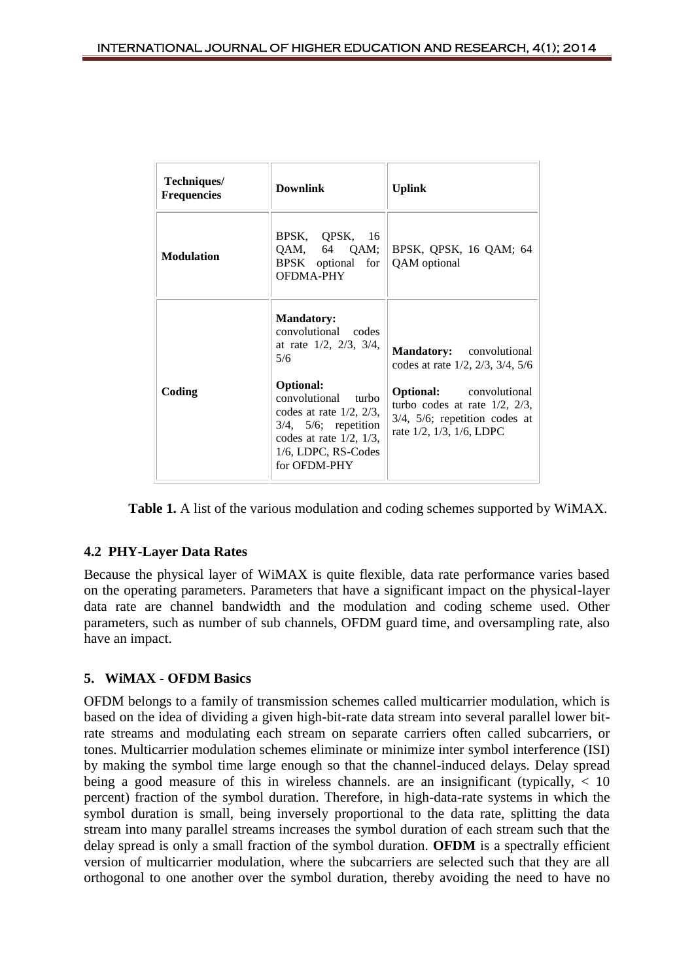| Techniques/<br><b>Frequencies</b> | <b>Downlink</b>                                                                                                                                                                                                                                                      | <b>Uplink</b>                                                                                                                                                                                                              |
|-----------------------------------|----------------------------------------------------------------------------------------------------------------------------------------------------------------------------------------------------------------------------------------------------------------------|----------------------------------------------------------------------------------------------------------------------------------------------------------------------------------------------------------------------------|
| <b>Modulation</b>                 | BPSK, QPSK, 16<br>$QAM$ , 64 $QAM$ ;<br>BPSK optional for<br><b>OFDMA-PHY</b>                                                                                                                                                                                        | BPSK, QPSK, 16 QAM; 64<br>QAM optional                                                                                                                                                                                     |
| Coding                            | <b>Mandatory:</b><br>convolutional codes<br>at rate $1/2$ , $2/3$ , $3/4$ ,<br>5/6<br><b>Optional:</b><br>convolutional turbo<br>codes at rate $1/2$ , $2/3$ ,<br>$3/4$ , $5/6$ ; repetition<br>codes at rate $1/2$ , $1/3$ ,<br>1/6, LDPC, RS-Codes<br>for OFDM-PHY | <b>Mandatory:</b> convolutional<br>codes at rate $1/2$ , $2/3$ , $3/4$ , $5/6$<br><b>Optional:</b> convolutional<br>turbo codes at rate $1/2$ , $2/3$ ,<br>$3/4$ , $5/6$ ; repetition codes at<br>rate 1/2, 1/3, 1/6, LDPC |

**Table 1.** A list of the various modulation and coding schemes supported by WiMAX.

### **4.2 PHY-Layer Data Rates**

Because the physical layer of WiMAX is quite flexible, data rate performance varies based on the operating parameters. Parameters that have a significant impact on the physical-layer data rate are channel bandwidth and the modulation and coding scheme used. Other parameters, such as number of sub channels, OFDM guard time, and oversampling rate, also have an impact.

#### **5. WiMAX - OFDM Basics**

OFDM belongs to a family of transmission schemes called multicarrier modulation, which is based on the idea of dividing a given high-bit-rate data stream into several parallel lower bitrate streams and modulating each stream on separate carriers often called subcarriers, or tones. Multicarrier modulation schemes eliminate or minimize inter symbol interference (ISI) by making the symbol time large enough so that the channel-induced delays. Delay spread being a good measure of this in wireless channels, are an insignificant (typically,  $\langle 10 \rangle$ ) percent) fraction of the symbol duration. Therefore, in high-data-rate systems in which the symbol duration is small, being inversely proportional to the data rate, splitting the data stream into many parallel streams increases the symbol duration of each stream such that the delay spread is only a small fraction of the symbol duration. **OFDM** is a spectrally efficient version of multicarrier modulation, where the subcarriers are selected such that they are all orthogonal to one another over the symbol duration, thereby avoiding the need to have no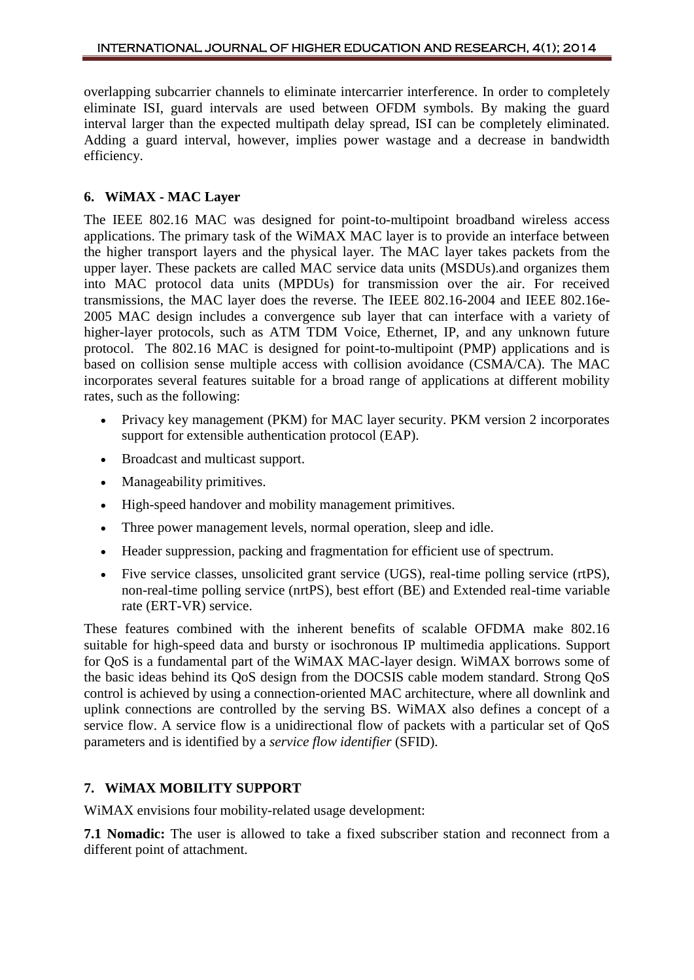overlapping subcarrier channels to eliminate intercarrier interference. In order to completely eliminate ISI, guard intervals are used between OFDM symbols. By making the guard interval larger than the expected multipath delay spread, ISI can be completely eliminated. Adding a guard interval, however, implies power wastage and a decrease in bandwidth efficiency.

### **6. WiMAX - MAC Layer**

The IEEE 802.16 MAC was designed for point-to-multipoint broadband wireless access applications. The primary task of the WiMAX MAC layer is to provide an interface between the higher transport layers and the physical layer. The MAC layer takes packets from the upper layer. These packets are called MAC service data units (MSDUs).and organizes them into MAC protocol data units (MPDUs) for transmission over the air. For received transmissions, the MAC layer does the reverse. The IEEE 802.16-2004 and IEEE 802.16e-2005 MAC design includes a convergence sub layer that can interface with a variety of higher-layer protocols, such as ATM TDM Voice, Ethernet, IP, and any unknown future protocol. The 802.16 MAC is designed for point-to-multipoint (PMP) applications and is based on collision sense multiple access with collision avoidance (CSMA/CA). The MAC incorporates several features suitable for a broad range of applications at different mobility rates, such as the following:

- Privacy key management (PKM) for MAC layer security. PKM version 2 incorporates support for extensible authentication protocol (EAP).
- Broadcast and multicast support.
- Manageability primitives.
- High-speed handover and mobility management primitives.
- Three power management levels, normal operation, sleep and idle.
- Header suppression, packing and fragmentation for efficient use of spectrum.
- Five service classes, unsolicited grant service (UGS), real-time polling service (rtPS), non-real-time polling service (nrtPS), best effort (BE) and Extended real-time variable rate (ERT-VR) service.

These features combined with the inherent benefits of scalable OFDMA make 802.16 suitable for high-speed data and bursty or isochronous IP multimedia applications. Support for QoS is a fundamental part of the WiMAX MAC-layer design. WiMAX borrows some of the basic ideas behind its QoS design from the DOCSIS cable modem standard. Strong QoS control is achieved by using a connection-oriented MAC architecture, where all downlink and uplink connections are controlled by the serving BS. WiMAX also defines a concept of a service flow. A service flow is a unidirectional flow of packets with a particular set of QoS parameters and is identified by a *service flow identifier* (SFID).

### **7. WiMAX MOBILITY SUPPORT**

WiMAX envisions four mobility-related usage development:

**7.1 Nomadic:** The user is allowed to take a fixed subscriber station and reconnect from a different point of attachment.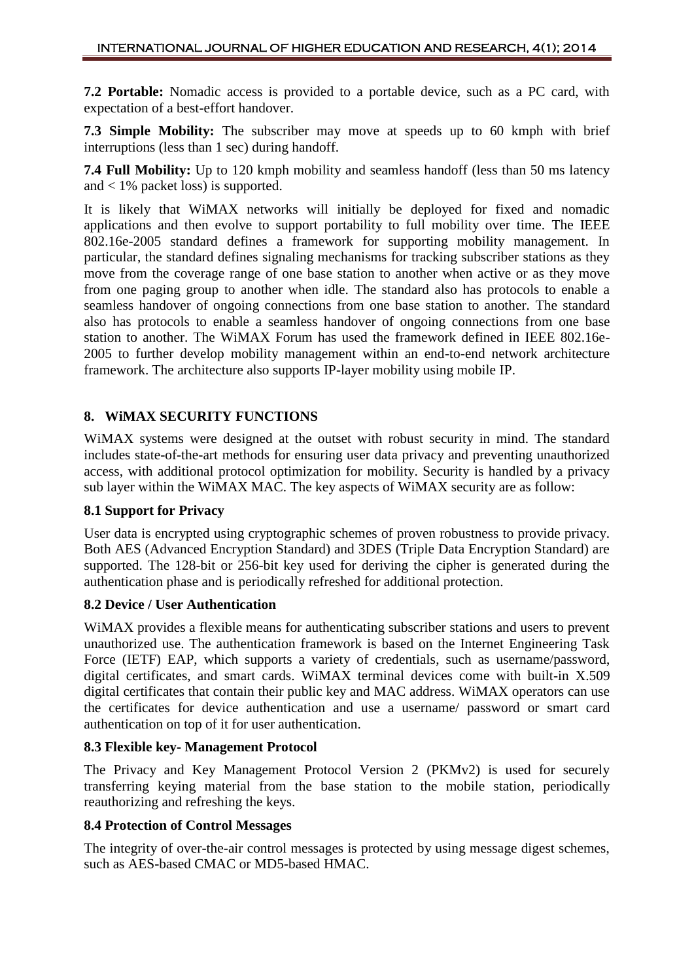**7.2 Portable:** Nomadic access is provided to a portable device, such as a PC card, with expectation of a best-effort handover.

**7.3 Simple Mobility:** The subscriber may move at speeds up to 60 kmph with brief interruptions (less than 1 sec) during handoff.

**7.4 Full Mobility:** Up to 120 kmph mobility and seamless handoff (less than 50 ms latency and < 1% packet loss) is supported.

It is likely that WiMAX networks will initially be deployed for fixed and nomadic applications and then evolve to support portability to full mobility over time. The IEEE 802.16e-2005 standard defines a framework for supporting mobility management. In particular, the standard defines signaling mechanisms for tracking subscriber stations as they move from the coverage range of one base station to another when active or as they move from one paging group to another when idle. The standard also has protocols to enable a seamless handover of ongoing connections from one base station to another. The standard also has protocols to enable a seamless handover of ongoing connections from one base station to another. The WiMAX Forum has used the framework defined in IEEE 802.16e-2005 to further develop mobility management within an end-to-end network architecture framework. The architecture also supports IP-layer mobility using mobile IP.

### **8. WiMAX SECURITY FUNCTIONS**

WiMAX systems were designed at the outset with robust security in mind. The standard includes state-of-the-art methods for ensuring user data privacy and preventing unauthorized access, with additional protocol optimization for mobility. Security is handled by a privacy sub layer within the WiMAX MAC. The key aspects of WiMAX security are as follow:

### **8.1 Support for Privacy**

User data is encrypted using cryptographic schemes of proven robustness to provide privacy. Both AES (Advanced Encryption Standard) and 3DES (Triple Data Encryption Standard) are supported. The 128-bit or 256-bit key used for deriving the cipher is generated during the authentication phase and is periodically refreshed for additional protection.

### **8.2 Device / User Authentication**

WiMAX provides a flexible means for authenticating subscriber stations and users to prevent unauthorized use. The authentication framework is based on the Internet Engineering Task Force (IETF) EAP, which supports a variety of credentials, such as username/password, digital certificates, and smart cards. WiMAX terminal devices come with built-in X.509 digital certificates that contain their public key and MAC address. WiMAX operators can use the certificates for device authentication and use a username/ password or smart card authentication on top of it for user authentication.

#### **8.3 Flexible key- Management Protocol**

The Privacy and Key Management Protocol Version 2 (PKMv2) is used for securely transferring keying material from the base station to the mobile station, periodically reauthorizing and refreshing the keys.

#### **8.4 Protection of Control Messages**

The integrity of over-the-air control messages is protected by using message digest schemes, such as AES-based CMAC or MD5-based HMAC.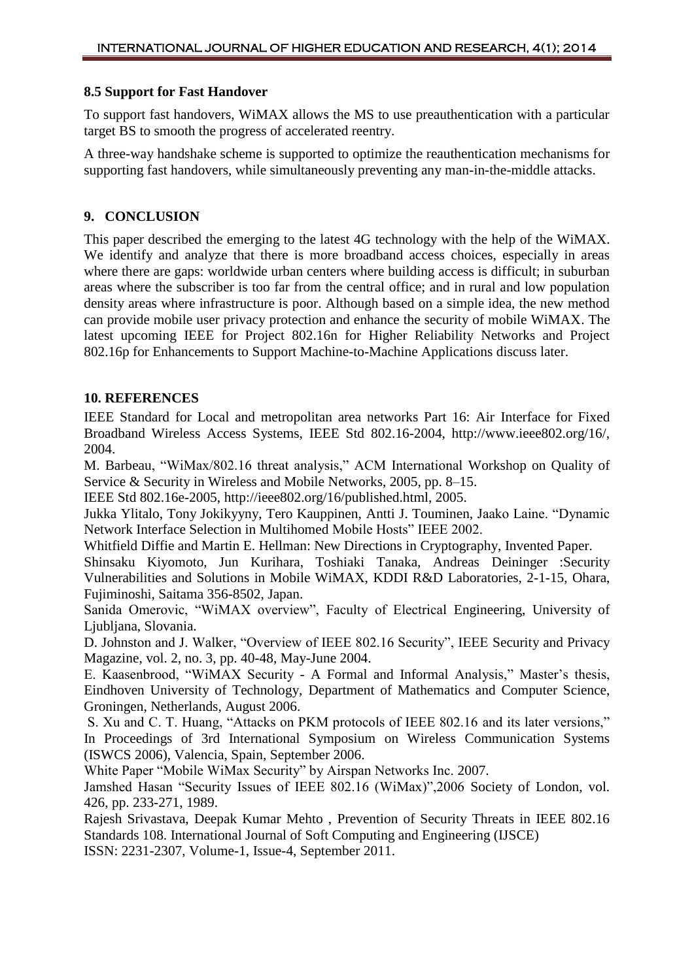#### **8.5 Support for Fast Handover**

To support fast handovers, WiMAX allows the MS to use preauthentication with a particular target BS to smooth the progress of accelerated reentry.

A three-way handshake scheme is supported to optimize the reauthentication mechanisms for supporting fast handovers, while simultaneously preventing any man-in-the-middle attacks.

#### **9. CONCLUSION**

This paper described the emerging to the latest 4G technology with the help of the WiMAX. We identify and analyze that there is more broadband access choices, especially in areas where there are gaps: worldwide urban centers where building access is difficult; in suburban areas where the subscriber is too far from the central office; and in rural and low population density areas where infrastructure is poor. Although based on a simple idea, the new method can provide mobile user privacy protection and enhance the security of mobile WiMAX. The latest upcoming IEEE for Project 802.16n for Higher Reliability Networks and Project 802.16p for Enhancements to Support Machine-to-Machine Applications discuss later.

#### **10. REFERENCES**

IEEE Standard for Local and metropolitan area networks Part 16: Air Interface for Fixed Broadband Wireless Access Systems, IEEE Std 802.16-2004, http://www.ieee802.org/16/, 2004.

M. Barbeau, "WiMax/802.16 threat analysis," ACM International Workshop on Quality of Service & Security in Wireless and Mobile Networks, 2005, pp. 8–15.

IEEE Std 802.16e-2005, http://ieee802.org/16/published.html, 2005.

Jukka Ylitalo, Tony Jokikyyny, Tero Kauppinen, Antti J. Touminen, Jaako Laine. "Dynamic Network Interface Selection in Multihomed Mobile Hosts" IEEE 2002.

Whitfield Diffie and Martin E. Hellman: New Directions in Cryptography, Invented Paper.

Shinsaku Kiyomoto, Jun Kurihara, Toshiaki Tanaka, Andreas Deininger :Security Vulnerabilities and Solutions in Mobile WiMAX, KDDI R&D Laboratories, 2-1-15, Ohara, Fujiminoshi, Saitama 356-8502, Japan.

Sanida Omerovic, "WiMAX overview", Faculty of Electrical Engineering, University of Ljubljana, Slovania.

D. Johnston and J. Walker, "Overview of IEEE 802.16 Security", IEEE Security and Privacy Magazine, vol. 2, no. 3, pp. 40-48, May-June 2004.

E. Kaasenbrood, "WiMAX Security - A Formal and Informal Analysis," Master's thesis, Eindhoven University of Technology, Department of Mathematics and Computer Science, Groningen, Netherlands, August 2006.

S. Xu and C. T. Huang, "Attacks on PKM protocols of IEEE 802.16 and its later versions," In Proceedings of 3rd International Symposium on Wireless Communication Systems (ISWCS 2006), Valencia, Spain, September 2006.

White Paper "Mobile WiMax Security" by Airspan Networks Inc. 2007.

Jamshed Hasan "Security Issues of IEEE 802.16 (WiMax)",2006 Society of London, vol. 426, pp. 233-271, 1989.

Rajesh Srivastava, Deepak Kumar Mehto , Prevention of Security Threats in IEEE 802.16 Standards 108. International Journal of Soft Computing and Engineering (IJSCE)

ISSN: 2231-2307, Volume-1, Issue-4, September 2011.